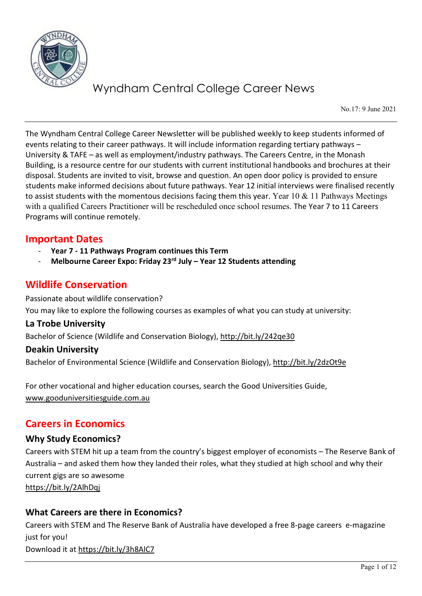

No.17: 9 June 2021

The Wyndham Central College Career Newsletter will be published weekly to keep students informed of events relating to their career pathways. It will include information regarding tertiary pathways – University & TAFE – as well as employment/industry pathways. The Careers Centre, in the Monash Building, is a resource centre for our students with current institutional handbooks and brochures at their disposal. Students are invited to visit, browse and question. An open door policy is provided to ensure students make informed decisions about future pathways. Year 12 initial interviews were finalised recently to assist students with the momentous decisions facing them this year. Year 10 & 11 Pathways Meetings with a qualified Careers Practitioner will be rescheduled once school resumes. The Year 7 to 11 Careers Programs will continue remotely.

## **Important Dates**

- **Year 7 - 11 Pathways Program continues this Term**
- **Melbourne Career Expo: Friday 23rd July – Year 12 Students attending**

## **Wildlife Conservation**

Passionate about wildlife conservation? You may like to explore the following courses as examples of what you can study at university:

### **La Trobe University**

Bachelor of Science (Wildlife and Conservation Biology),<http://bit.ly/242qe30>

## **Deakin University**

Bachelor of Environmental Science (Wildlife and Conservation Biology),<http://bit.ly/2dzOt9e>

For other vocational and higher education courses, search the Good Universities Guide, [www.gooduniversitiesguide.com.au](http://www.gooduniversitiesguide.com.au/)

## **Careers in Economics**

## **Why Study Economics?**

Careers with STEM hit up a team from the country's biggest employer of economists – The Reserve Bank of Australia – and asked them how they landed their roles, what they studied at high school and why their current gigs are so awesome

<https://bit.ly/2AlhDqj>

## **What Careers are there in Economics?**

Careers with STEM and The Reserve Bank of Australia have developed a free 8-page careers e-magazine just for you! Download it at<https://bit.ly/3h8AlC7>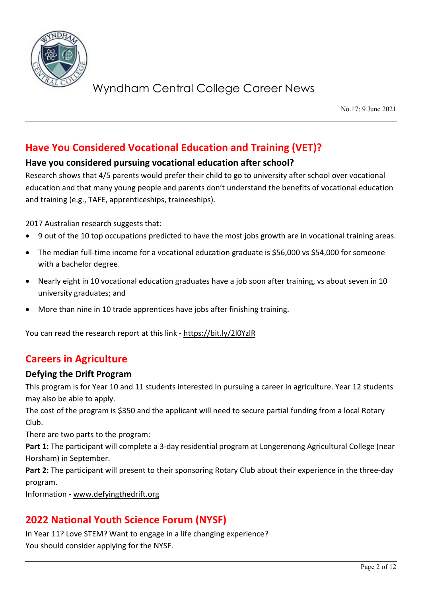

No.17: 9 June 2021

# **Have You Considered Vocational Education and Training (VET)?**

## **Have you considered pursuing vocational education after school?**

Research shows that 4/5 parents would prefer their child to go to university after school over vocational education and that many young people and parents don't understand the benefits of vocational education and training (e.g., TAFE, apprenticeships, traineeships).

2017 Australian research suggests that:

- 9 out of the 10 top occupations predicted to have the most jobs growth are in vocational training areas.
- The median full-time income for a vocational education graduate is \$56,000 vs \$54,000 for someone with a bachelor degree.
- Nearly eight in 10 vocational education graduates have a job soon after training, vs about seven in 10 university graduates; and
- More than nine in 10 trade apprentices have jobs after finishing training.

You can read the research report at this link - <https://bit.ly/2l0YzlR>

## **Careers in Agriculture**

## **Defying the Drift Program**

This program is for Year 10 and 11 students interested in pursuing a career in agriculture. Year 12 students may also be able to apply.

The cost of the program is \$350 and the applicant will need to secure partial funding from a local Rotary Club.

There are two parts to the program:

**Part 1:** The participant will complete a 3-day residential program at Longerenong Agricultural College (near Horsham) in September.

**Part 2:** The participant will present to their sponsoring Rotary Club about their experience in the three-day program.

Information - [www.defyingthedrift.org](http://www.defyingthedrift.org/)

# **2022 National Youth Science Forum (NYSF)**

In Year 11? Love STEM? Want to engage in a life changing experience? You should consider applying for the NYSF.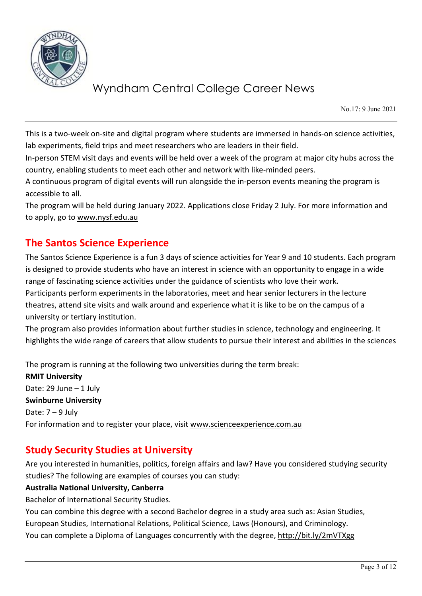

No.17: 9 June 2021

This is a two-week on-site and digital program where students are immersed in hands-on science activities, lab experiments, field trips and meet researchers who are leaders in their field.

In-person STEM visit days and events will be held over a week of the program at major city hubs across the country, enabling students to meet each other and network with like-minded peers.

A continuous program of digital events will run alongside the in-person events meaning the program is accessible to all.

The program will be held during January 2022. Applications close Friday 2 July. For more information and to apply, go to [www.nysf.edu.au](http://www.nysf.edu.au/)

# **The Santos Science Experience**

The Santos Science Experience is a fun 3 days of science activities for Year 9 and 10 students. Each program is designed to provide students who have an interest in science with an opportunity to engage in a wide range of fascinating science activities under the guidance of scientists who love their work. Participants perform experiments in the laboratories, meet and hear senior lecturers in the lecture theatres, attend site visits and walk around and experience what it is like to be on the campus of a university or tertiary institution.

The program also provides information about further studies in science, technology and engineering. It highlights the wide range of careers that allow students to pursue their interest and abilities in the sciences

The program is running at the following two universities during the term break:

**RMIT University** Date: 29 June – 1 July **Swinburne University** Date:  $7 - 9$  July For information and to register your place, visit [www.scienceexperience.com.au](http://www.scienceexperience.com.au/)

## **Study Security Studies at University**

Are you interested in humanities, politics, foreign affairs and law? Have you considered studying security studies? The following are examples of courses you can study:

## **Australia National University, Canberra**

Bachelor of International Security Studies.

You can combine this degree with a second Bachelor degree in a study area such as: Asian Studies, European Studies, International Relations, Political Science, Laws (Honours), and Criminology. You can complete a Diploma of Languages concurrently with the degree,<http://bit.ly/2mVTXgg>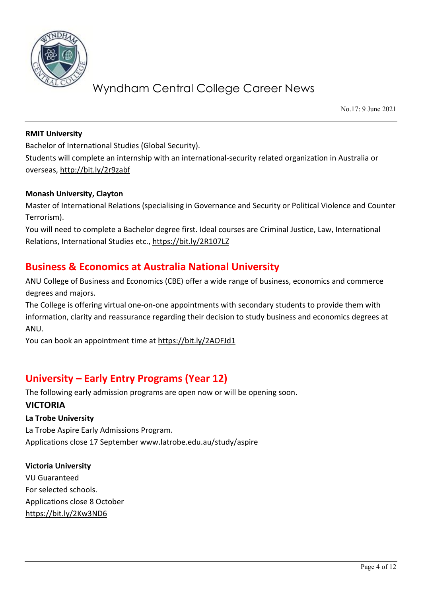

No.17: 9 June 2021

#### **RMIT University**

Bachelor of International Studies (Global Security).

Students will complete an internship with an international-security related organization in Australia or overseas[, http://bit.ly/2r9zabf](http://bit.ly/2r9zabf)

#### **Monash University, Clayton**

Master of International Relations (specialising in Governance and Security or Political Violence and Counter Terrorism).

You will need to complete a Bachelor degree first. Ideal courses are Criminal Justice, Law, International Relations, International Studies etc.,<https://bit.ly/2R107LZ>

## **Business & Economics at Australia National University**

ANU College of Business and Economics (CBE) offer a wide range of business, economics and commerce degrees and majors.

The College is offering virtual one-on-one appointments with secondary students to provide them with information, clarity and reassurance regarding their decision to study business and economics degrees at ANU.

You can book an appointment time at<https://bit.ly/2AOFJd1>

# **University – Early Entry Programs (Year 12)**

The following early admission programs are open now or will be opening soon.

## **VICTORIA**

### **La Trobe University**

La Trobe Aspire Early Admissions Program. Applications close 17 Septembe[r www.latrobe.edu.au/study/aspire](http://www.latrobe.edu.au/study/aspire)

**Victoria University**  VU Guaranteed For selected schools. Applications close 8 October <https://bit.ly/2Kw3ND6>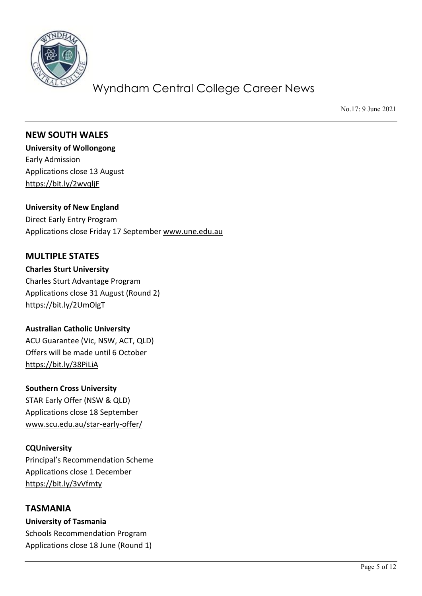

No.17: 9 June 2021

## **NEW SOUTH WALES**

**University of Wollongong** Early Admission Applications close 13 August <https://bit.ly/2wvqljF>

### **University of New England**

Direct Early Entry Program Applications close Friday 17 September [www.une.edu.au](http://www.une.edu.au/)

## **MULTIPLE STATES**

**Charles Sturt University**  Charles Sturt Advantage Program Applications close 31 August (Round 2) <https://bit.ly/2UmOlgT>

### **Australian Catholic University**

ACU Guarantee (Vic, NSW, ACT, QLD) Offers will be made until 6 October <https://bit.ly/38PiLiA>

## **Southern Cross University**

STAR Early Offer (NSW & QLD) Applications close 18 September [www.scu.edu.au/star-early-offer/](http://www.scu.edu.au/star-early-offer/)

### **CQUniversity**

Principal's Recommendation Scheme Applications close 1 December <https://bit.ly/3vVfmty>

## **TASMANIA**

**University of Tasmania** Schools Recommendation Program Applications close 18 June (Round 1)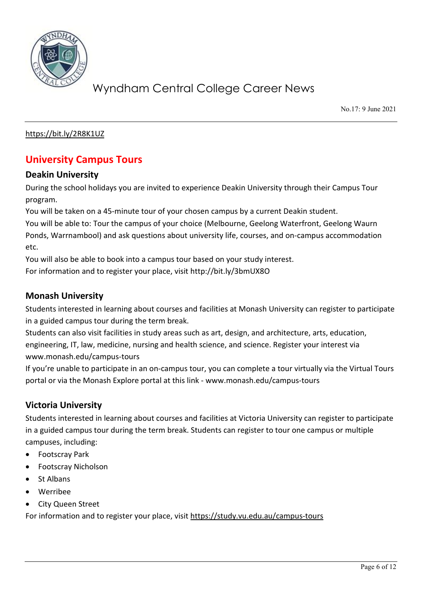

No.17: 9 June 2021

<https://bit.ly/2R8K1UZ>

# **University Campus Tours**

### **Deakin University**

During the school holidays you are invited to experience Deakin University through their Campus Tour program.

You will be taken on a 45-minute tour of your chosen campus by a current Deakin student.

You will be able to: Tour the campus of your choice (Melbourne, Geelong Waterfront, Geelong Waurn Ponds, Warrnambool) and ask questions about university life, courses, and on-campus accommodation etc.

You will also be able to book into a campus tour based on your study interest.

For information and to register your place, visit<http://bit.ly/3bmUX8O>

## **Monash University**

Students interested in learning about courses and facilities at Monash University can register to participate in a guided campus tour during the term break.

Students can also visit facilities in study areas such as art, design, and architecture, arts, education, engineering, IT, law, medicine, nursing and health science, and science. Register your interest via [www.monash.edu/campus-tours](http://www.monash.edu/campus-tours)

If you're unable to participate in an on-campus tour, you can complete a tour virtually via the Virtual Tours portal or via the Monash Explore portal at this link - [www.monash.edu/campus-tours](http://www.monash.edu/campus-tours)

## **Victoria University**

Students interested in learning about courses and facilities at Victoria University can register to participate in a guided campus tour during the term break. Students can register to tour one campus or multiple campuses, including:

- Footscray Park
- Footscray Nicholson
- St Albans
- Werribee
- City Queen Street

For information and to register your place, visit<https://study.vu.edu.au/campus-tours>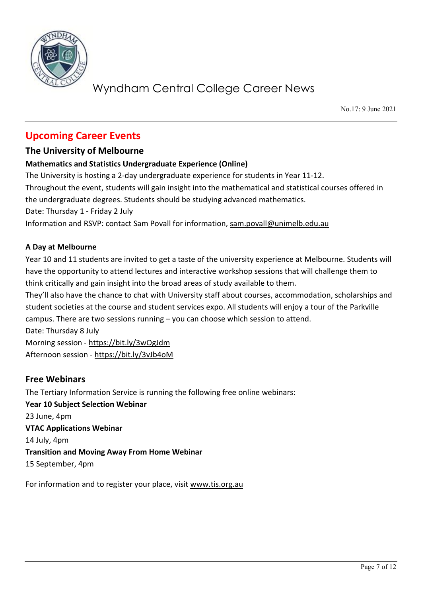

No.17: 9 June 2021

# **Upcoming Career Events**

## **The University of Melbourne**

## **Mathematics and Statistics Undergraduate Experience (Online)**

The University is hosting a 2-day undergraduate experience for students in Year 11-12. Throughout the event, students will gain insight into the mathematical and statistical courses offered in the undergraduate degrees. Students should be studying advanced mathematics. Date: Thursday 1 - Friday 2 July Information and RSVP: contact Sam Povall for information, [sam.povall@unimelb.edu.au](mailto:sam.povall@unimelb.edu.au)

### **A Day at Melbourne**

Year 10 and 11 students are invited to get a taste of the university experience at Melbourne. Students will have the opportunity to attend lectures and interactive workshop sessions that will challenge them to think critically and gain insight into the broad areas of study available to them.

They'll also have the chance to chat with University staff about courses, accommodation, scholarships and student societies at the course and student services expo. All students will enjoy a tour of the Parkville campus. There are two sessions running – you can choose which session to attend.

Date: Thursday 8 July

Morning session - <https://bit.ly/3wOgJdm> Afternoon session - <https://bit.ly/3vJb4oM>

## **Free Webinars**

The Tertiary Information Service is running the following free online webinars: **Year 10 Subject Selection Webinar** 23 June, 4pm **VTAC Applications Webinar** 14 July, 4pm **Transition and Moving Away From Home Webinar** 15 September, 4pm

For information and to register your place, visit [www.tis.org.au](http://www.tis.org.au/)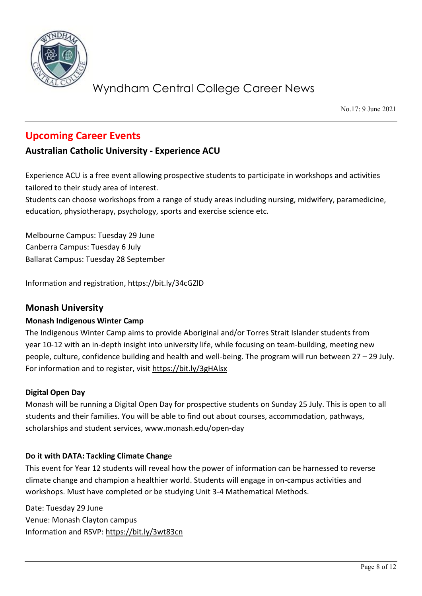

No.17: 9 June 2021

# **Upcoming Career Events**

## **Australian Catholic University - Experience ACU**

Experience ACU is a free event allowing prospective students to participate in workshops and activities tailored to their study area of interest.

Students can choose workshops from a range of study areas including nursing, midwifery, paramedicine, education, physiotherapy, psychology, sports and exercise science etc.

Melbourne Campus: Tuesday 29 June Canberra Campus: Tuesday 6 July Ballarat Campus: Tuesday 28 September

Information and registration,<https://bit.ly/34cGZlD>

## **Monash University**

## **Monash Indigenous Winter Camp**

The Indigenous Winter Camp aims to provide Aboriginal and/or Torres Strait Islander students from year 10-12 with an in-depth insight into university life, while focusing on team-building, meeting new people, culture, confidence building and health and well-being. The program will run between 27 – 29 July. For information and to register, visit<https://bit.ly/3gHAlsx>

### **Digital Open Day**

Monash will be running a Digital Open Day for prospective students on Sunday 25 July. This is open to all students and their families. You will be able to find out about courses, accommodation, pathways, scholarships and student services, [www.monash.edu/open-day](http://www.monash.edu/open-day)

### **Do it with DATA: Tackling Climate Chang**e

This event for Year 12 students will reveal how the power of information can be harnessed to reverse climate change and champion a healthier world. Students will engage in on-campus activities and workshops. Must have completed or be studying Unit 3-4 Mathematical Methods.

Date: Tuesday 29 June Venue: Monash Clayton campus Information and RSVP:<https://bit.ly/3wt83cn>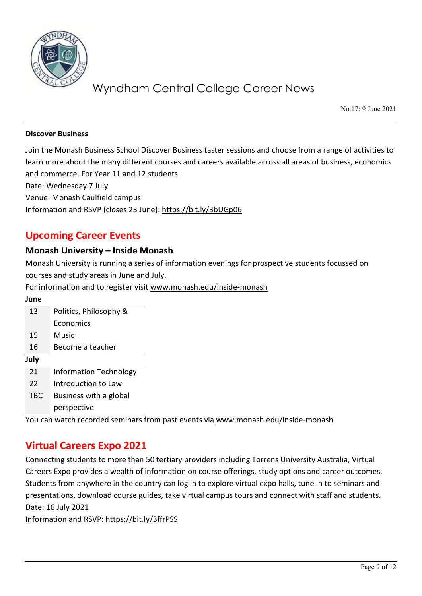

No.17: 9 June 2021

#### **Discover Business**

Join the Monash Business School Discover Business taster sessions and choose from a range of activities to learn more about the many different courses and careers available across all areas of business, economics and commerce. For Year 11 and 12 students.

Date: Wednesday 7 July

Venue: Monash Caulfield campus

Information and RSVP (closes 23 June):<https://bit.ly/3bUGp06>

## **Upcoming Career Events**

### **Monash University – Inside Monash**

Monash University is running a series of information evenings for prospective students focussed on courses and study areas in June and July.

For information and to register visit [www.monash.edu/inside-monash](http://www.monash.edu/inside-monash)

| Politics, Philosophy &        |
|-------------------------------|
| Economics                     |
| Music                         |
| Become a teacher              |
|                               |
| <b>Information Technology</b> |
| Introduction to Law           |
| Business with a global        |
| perspective                   |
|                               |

You can watch recorded seminars from past events via [www.monash.edu/inside-monash](http://www.monash.edu/inside-monash)

## **Virtual Careers Expo 2021**

Connecting students to more than 50 tertiary providers including Torrens University Australia, Virtual Careers Expo provides a wealth of information on course offerings, study options and career outcomes. Students from anywhere in the country can log in to explore virtual expo halls, tune in to seminars and presentations, download course guides, take virtual campus tours and connect with staff and students. Date: 16 July 2021

Information and RSVP:<https://bit.ly/3ffrPSS>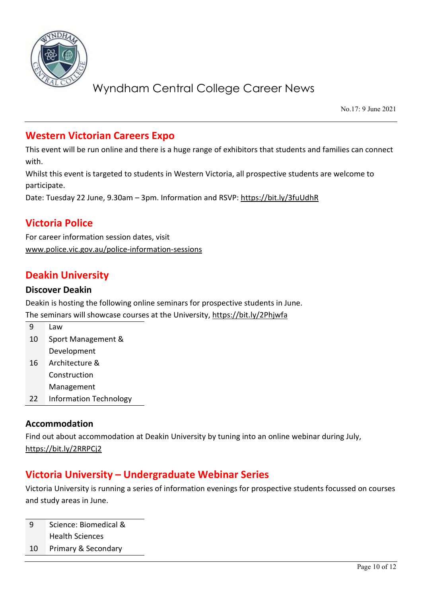

No.17: 9 June 2021

# **Western Victorian Careers Expo**

This event will be run online and there is a huge range of exhibitors that students and families can connect with.

Whilst this event is targeted to students in Western Victoria, all prospective students are welcome to participate.

Date: Tuesday 22 June, 9.30am – 3pm. Information and RSVP:<https://bit.ly/3fuUdhR>

# **Victoria Police**

For career information session dates, visit [www.police.vic.gov.au/police-information-sessions](http://www.police.vic.gov.au/police-information-sessions)

# **Deakin University**

### **Discover Deakin**

Deakin is hosting the following online seminars for prospective students in June. The seminars will showcase courses at the University,<https://bit.ly/2Phjwfa>

| q  | Law                |
|----|--------------------|
| 10 | Sport Management & |
|    | Development        |
| 16 | Architecture &     |
|    | Construction       |

Management

22 Information Technology

## **Accommodation**

Find out about accommodation at Deakin University by tuning into an online webinar during July, <https://bit.ly/2RRPCj2>

## **Victoria University – Undergraduate Webinar Series**

Victoria University is running a series of information evenings for prospective students focussed on courses and study areas in June.

9 Science: Biomedical & Health Sciences

10 Primary & Secondary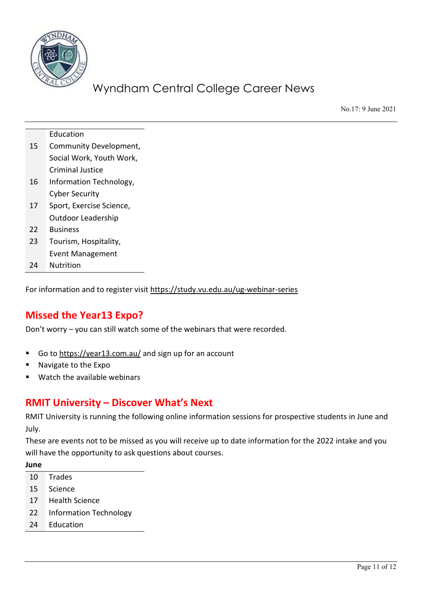

No.17: 9 June 2021

|    | Education                |
|----|--------------------------|
| 15 | Community Development,   |
|    | Social Work, Youth Work, |
|    | <b>Criminal Justice</b>  |
| 16 | Information Technology,  |
|    | <b>Cyber Security</b>    |
| 17 | Sport, Exercise Science, |
|    | Outdoor Leadership       |
| 22 | <b>Business</b>          |
| 23 | Tourism, Hospitality,    |
|    | Event Management         |
| 24 | Nutrition                |

For information and to register visit<https://study.vu.edu.au/ug-webinar-series>

## **Missed the Year13 Expo?**

Don't worry – you can still watch some of the webinars that were recorded.

- Go t[o https://year13.com.au/](https://year13.com.au/) and sign up for an account
- Navigate to the Expo
- Watch the available webinars

## **RMIT University – Discover What's Next**

RMIT University is running the following online information sessions for prospective students in June and July.

These are events not to be missed as you will receive up to date information for the 2022 intake and you will have the opportunity to ask questions about courses.

- 10 Trades
- 15 Science
- 17 Health Science
- 22 Information Technology
- 24 Education